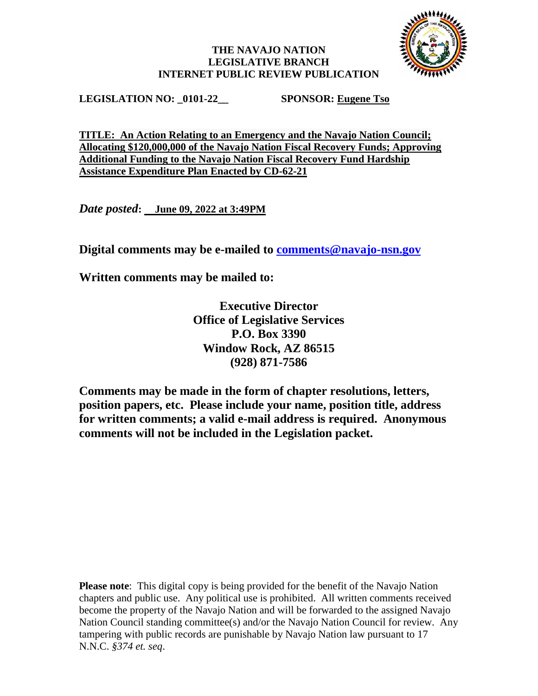## **THE NAVAJO NATION LEGISLATIVE BRANCH INTERNET PUBLIC REVIEW PUBLICATION**



**LEGISLATION NO: \_0101-22\_\_ SPONSOR: Eugene Tso**

**TITLE: An Action Relating to an Emergency and the Navajo Nation Council; Allocating \$120,000,000 of the Navajo Nation Fiscal Recovery Funds; Approving Additional Funding to the Navajo Nation Fiscal Recovery Fund Hardship Assistance Expenditure Plan Enacted by CD-62-21**

*Date posted***: June 09, 2022 at 3:49PM**

**Digital comments may be e-mailed to [comments@navajo-nsn.gov](mailto:comments@navajo-nsn.gov?subject=0101-22)**

**Written comments may be mailed to:**

**Executive Director Office of Legislative Services P.O. Box 3390 Window Rock, AZ 86515 (928) 871-7586**

**Comments may be made in the form of chapter resolutions, letters, position papers, etc. Please include your name, position title, address for written comments; a valid e-mail address is required. Anonymous comments will not be included in the Legislation packet.**

**Please note**: This digital copy is being provided for the benefit of the Navajo Nation chapters and public use. Any political use is prohibited. All written comments received become the property of the Navajo Nation and will be forwarded to the assigned Navajo Nation Council standing committee(s) and/or the Navajo Nation Council for review. Any tampering with public records are punishable by Navajo Nation law pursuant to 17 N.N.C. *§374 et. seq*.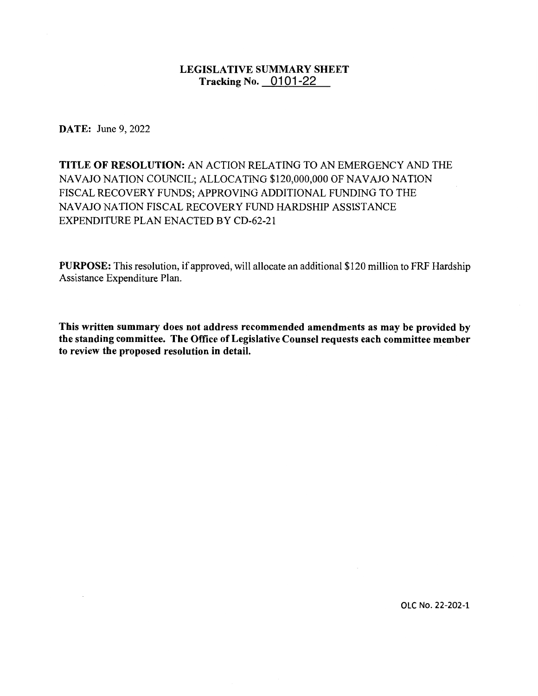# **LEGISLATIVE SUMMARY SHEET TISLATIVE SUMMARY SI**<br>Tracking No. \_\_0101-22

**DATE:** June 9, 2022

**TITLE OF RESOLUTION:** AN ACTION RELATING TO AN EMERGENCY AND THE NAVAJO NATION COUNCIL; ALLOCATING \$120,000,000 OF NAVAJO NATION FISCAL RECOVERY FUNDS; APPROVING ADDITIONAL FUNDING TO THE NAVAJO NATION FISCAL RECOVERY FUND HARDSHIP ASSISTANCE EXPENDITURE PLAN ENACTED BY CD-62-21

**PURPOSE:** This resolution, if approved, will allocate an additional \$120 million to FRF Hardship Assistance Expenditure Plan.

**This written summary does not address recommended amendments as may be provided by the standing committee. The Office of Legislative Counsel requests each committee member to review the proposed resolution in detail.** 

**OLC No. 22-202-1**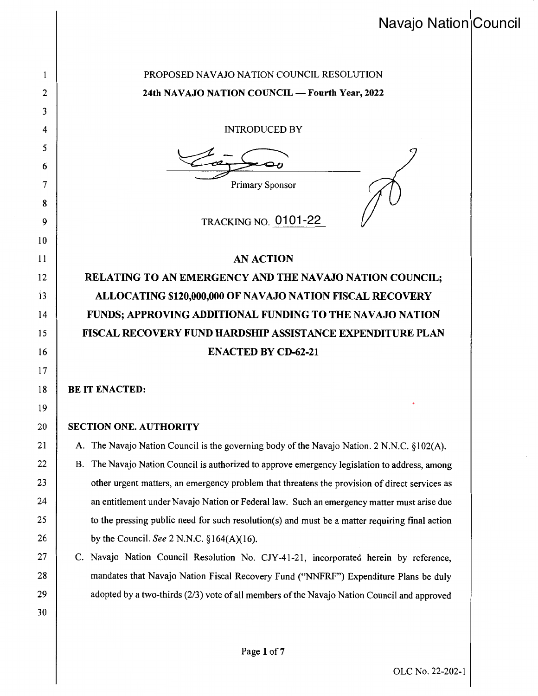# Navajo Nation Council

# PROPOSED NAVAJO NATION COUNCIL RESOLUTION **24th NAVAJO NATION COUNCIL- Fourth Year, 2022**

INTRODUCED BY

Primary Sponsor

TRACKING NO. <mark>0101-22</mark> 0101-22

## **AN ACTION**

**RELATING TO AN EMERGENCY AND THE NAVAJO NATION COUNCIL; ALLOCATING \$120,000,000 OF NAVAJO NATION FISCAL RECOVERY FUNDS; APPROVING ADDITIONAL FUNDING TO THE NAVAJO NATION FISCAL RECOVERY FUND HARDSHIP ASSISTANCE EXPENDITURE PLAN ENACTED BY CD-62-21** 

### **BE IT ENACTED:**

1 2

3

4

5

6

7

8

9

10

11

12

13

14

15

16

17

18

19

20

21

22

23

24

25

26

27

28

29

30

### **SECTION ONE. AUTHORITY**

A. The Navajo Nation Council is the governing body of the Navajo Nation. 2 N.N.C. §102(A). B. The Navajo Nation Council is authorized to approve emergency legislation to address, among other urgent matters, an emergency problem that threatens the provision of direct services as an entitlement under Navajo Nation or Federal law. Such an emergency matter must arise due to the pressing public need for such resolution(s) and must be a matter requiring final action by the Council. *See* 2 N.N.C. §164(A)(16).

C. Navajo Nation Council Resolution No. CJY-41-21, incorporated herein by reference, mandates that Navajo Nation Fiscal Recovery Fund ("NNFRF") Expenditure Plans be duly adopted by a two-thirds (2/3) vote of all members of the Navajo Nation Council and approved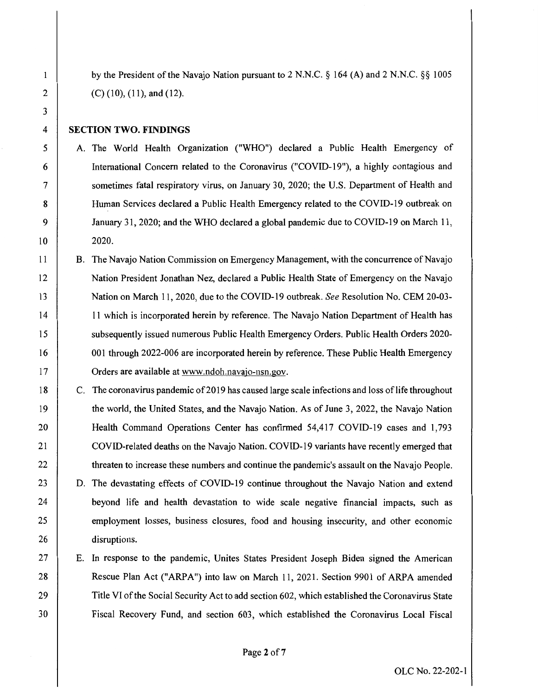by the President of the Navajo Nation pursuant to 2 N.N.C. § 164 (A) and 2 N.N.C. §§ 1005 (C) (10), (11), and (12).

#### **SECTION TWO. FINDINGS**

- A. The World Health Organization ("WHO") declared a Public Health Emergency of International Concern related to the Coronavirus ("COVID-19"), a highly contagious and sometimes fatal respiratory virus, on January 30, 2020; the U.S. Department of Health and Human Services declared a Public Health Emergency related to the COVID-19 outbreak on January 31, 2020; and the WHO declared a global pandemic due to COVID-19 on March 11, 2020.
- B. The Navajo Nation Commission on Emergency Management, with the concurrence of Navajo Nation President Jonathan Nez, declared a Public Health State of Emergency on the Navajo Nation on March 11, 2020, due to the COVID-19 outbreak. *See* Resolution No. CEM 20-03- 11 which is incorporated herein by reference. The Navajo Nation Department of Health has subsequently issued numerous Public Health Emergency Orders. Public Health Orders 2020- 001 through 2022-006 are incorporated herein by reference. These Public Health Emergency Orders are available at www.ndoh.navajo-nsn.gov.
- C. The coronavirus pandemic of 2019 has caused large scale infections and loss of life throughout the world, the United States, and the Navajo Nation. As of June 3, 2022, the Navajo Nation Health Command Operations Center has confirmed 54,417 COVID-19 cases and 1,793 COVID-related deaths on the Navajo Nation. COVID-19 variants have recently emerged that threaten to increase these numbers and continue the pandemic's assault on the Navajo People. D. The devastating effects of COVID-19 continue throughout the Navajo Nation and extend beyond life and health devastation to wide scale negative financial impacts, such as employment losses, business closures, food and housing insecurity, and other economic disruptions.
	- E. In response to the pandemic, Unites States President Joseph Biden signed the American Rescue Plan Act ("ARPA") into law on March 11, 2021. Section 9901 of ARPA amended Title VI of the Social Security Act to add section 602, which established the Coronavirus State Fiscal Recovery Fund, and section 603, which established the Coronavirus Local Fiscal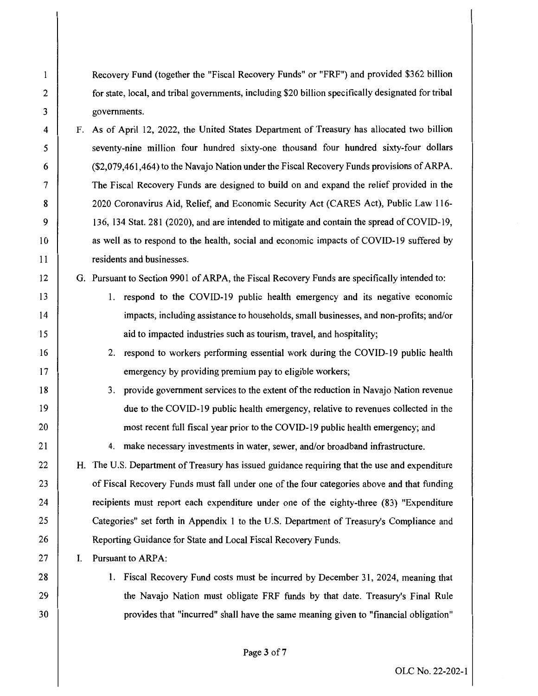Recovery Fund (together the "Fiscal Recovery Funds" or "FRF") and provided \$362 billion for state, local, and tribal governments, including \$20 billion specifically designated for tribal governments.

F. As of April 12, 2022, the United States Department of Treasury has allocated two billion seventy-nine million four hundred sixty-one thousand four hundred sixty-four dollars (\$2,079,461,464) to the Navajo Nation under the Fiscal Recovery Funds provisions of ARPA. The Fiscal Recovery Funds are designed to build on and expand the relief provided in the 2020 Coronavirus Aid, Relief, and Economic Security Act (CARES Act), Public Law 116- 136, 134 Stat. 281 (2020), and are intended to mitigate and contain the spread of COVID-19, as well as to respond to the health, social and economic impacts of COVID-19 suffered by residents and businesses.

G. Pursuant to Section 9901 of ARPA, the Fiscal Recovery Funds are specifically intended to:

- 1. respond to the COVID-19 public health emergency and its negative economic impacts, including assistance to households, small businesses, and non-profits; and/or aid to impacted industries such as tourism, travel, and hospitality;
- 2. respond to workers performing essential work during the COVID-19 public health emergency by providing premium pay to eligible workers;
- 3. provide government services to the extent of the reduction in Navajo Nation revenue due to the COVID-19 public health emergency, relative to revenues collected in the most recent full fiscal year prior to the COVID-19 public health emergency; and

4. make necessary investments in water, sewer, and/or broadband infrastructure.

H. The U.S. Department of Treasury has issued guidance requiring that the use and expenditure of Fiscal Recovery Funds must fall under one of the four categories above and that funding recipients must report each expenditure under one of the eighty-three (83) "Expenditure Categories" set forth in Appendix 1 to the U.S. Department of Treasury's Compliance and Reporting Guidance for State and Local Fiscal Recovery Funds.

I. Pursuant to ARPA:

28 29

30

1

2

3

4

5

6

7

8

9

10

11

12

13

14

15

16

17

18

19

20

21

22

23

24

25

26

27

I. Fiscal Recovery Fund costs must be incurred by December 31, 2024, meaning that the Navajo Nation must obligate FRF funds by that date. Treasury's Final Rule provides that "incurred" shall have the same meaning given to "financial obligation"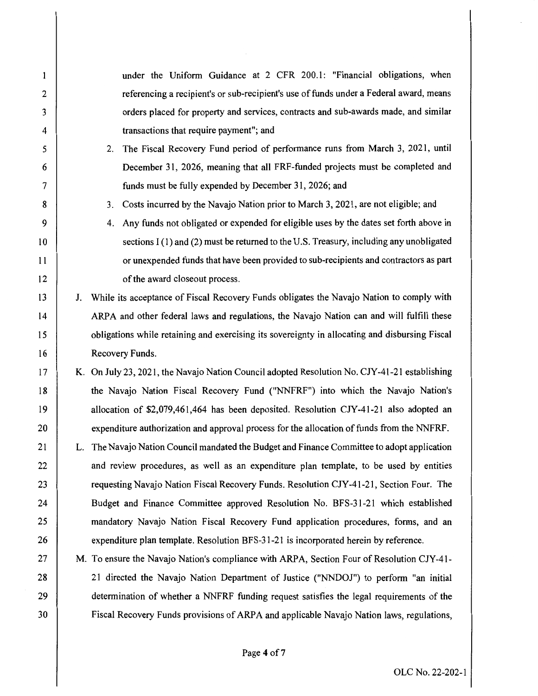under the Uniform Guidance at 2 CFR 200.1: "Financial obligations, when  $\mathbf{1}$ 2 referencing a recipient's or sub-recipient's use of funds under a Federal award, means 3 orders placed for property and services, contracts and sub-awards made, and similar transactions that require payment"; and 4 2. The Fiscal Recovery Fund period of performance runs from March 3, 2021, until 5 December 31, 2026, meaning that all FRF-funded projects must be completed and 6 7 funds must be fully expended by December 31, 2026; and 8 3. Costs incurred by the Navajo Nation prior to March 3, 2021, are not eligible; and 9 4. Any funds not obligated or expended for eligible uses by the dates set forth above in 10 sections I (I) and (2) must be returned to the U.S. Treasury, including any unobligated 11 or unexpended funds that have been provided to sub-recipients and contractors as part 12 of the award closeout process. 13 J. While its acceptance of Fiscal Recovery Funds obligates the Navajo Nation to comply with 14 ARPA and other federal laws and regulations, the Navajo Nation can and will fulfill these 15 obligations while retaining and exercising its sovereignty in allocating and disbursing Fiscal 16 Recovery Funds. 17 K. On July 23, 2021, the Navajo Nation Council adopted Resolution No. CJY-41-21 establishing 18 the Navajo Nation Fiscal Recovery Fund ("NNFRF") into which the Navajo Nation's 19 allocation of \$2,079,461,464 has been deposited. Resolution CJY-41-21 also adopted an 20 expenditure authorization and approval process for the allocation of funds from the NNFRF. 21 L. The Navajo Nation Council mandated the Budget and Finance Committee to adopt application 22 and review procedures, as well as an expenditure plan template, to be used by entities 23 requesting Navajo Nation Fiscal Recovery Funds. Resolution CJY-41-21, Section Four. The 24 Budget and Finance Committee approved Resolution No. BFS-31-21 which established 25 mandatory Navajo Nation Fiscal Recovery Fund application procedures, forms, and an 26 expenditure plan template. Resolution BFS-31-21 is incorporated herein by reference. 27 M. To ensure the Navajo Nation's compliance with ARPA, Section Four of Resolution CJY-41- 28 21 directed the Navajo Nation Department of Justice ("NNDOJ") to perform "an initial 29 determination of whether a NNFRF funding request satisfies the legal requirements of the 30 Fiscal Recovery Funds provisions of ARPA and applicable Navajo Nation laws, regulations,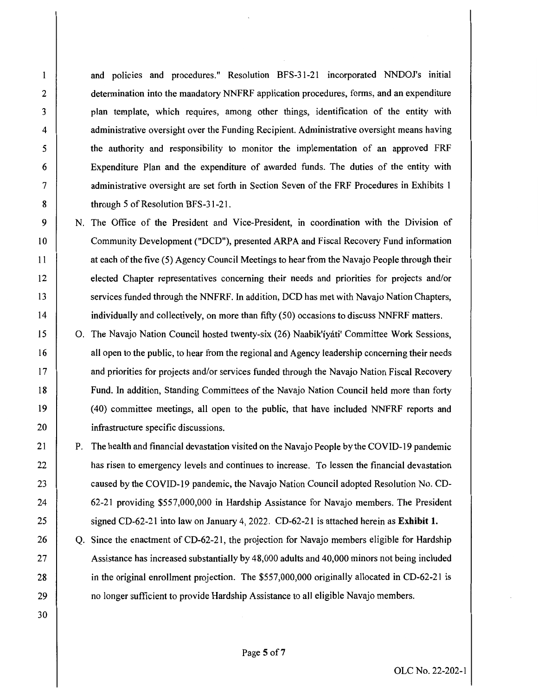and policies and procedures." Resolution BFS-31-21 incorporated NNDOJ's initial determination into the mandatory NNFRF application procedures, forms, and an expenditure plan template, which requires, among other things, identification of the entity with administrative oversight over the Funding Recipient. Administrative oversight means having the authority and responsibility to monitor the implementation of an approved FRF Expenditure Plan and the expenditure of awarded funds. The duties of the entity with administrative oversight are set forth in Section Seven of the FRF Procedures in Exhibits 1 through 5 of Resolution BFS-31-21.

- N. The Office of the President and Vice-President, in coordination with the Division of Community Development ("DCD"), presented ARP A and Fiscal Recovery Fund information at each of the five (5) Agency Council Meetings to hear from the Navajo People through their elected Chapter representatives concerning their needs and priorities for projects and/or services funded through the NNFRF. In addition, DCD has met with Navajo Nation Chapters, individually and collectively, on more than fifty (50) occasions to discuss NNFRF matters.
- 0. The Navajo Nation Council hosted twenty-six (26) Naabik'iyati' Committee Work Sessions, all open to the public, to hear from the regional and Agency leadership concerning their needs and priorities for projects and/or services funded through the Navajo Nation Fiscal Recovery Fund. In addition, Standing Committees of the Navajo Nation Council held more than forty ( 40) committee meetings, all open to the public, that have included NNFRF reports and infrastructure specific discussions.
- P. The health and financial devastation visited on the Navajo People by the COVID-19 pandemic has risen to emergency levels and continues to increase. To lessen the financial devastation caused by the COVID-19 pandemic, the Navajo Nation Council adopted Resolution No. CD-62-21 providing \$557,000,000 in Hardship Assistance for Navajo members. The President signed CD-62-21 into law on January 4, 2022. CD-62-21 is attached herein as **Exhibit 1.**
- Q. Since the enactment of CD-62-21, the projection for Navajo members eligible for Hardship Assistance has increased substantially by 48,000 adults and 40,000 minors not being included in the original enrollment projection. The \$557,000,000 originally allocated in CD-62-21 is no longer sufficient to provide Hardship Assistance to all eligible Navajo members.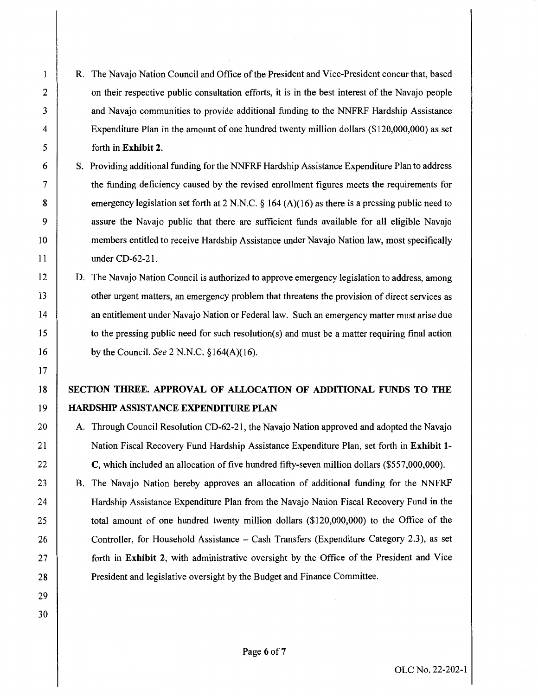R. The Navajo Nation Council and Office of the President and Vice-President concur that, based on their respective public consultation efforts, it is in the best interest of the Navajo people and Navajo communities to provide additional funding to the NNFRF Hardship Assistance Expenditure Plan in the amount of one hundred twenty million dollars (\$120,000,000) as set forth in **Exhibit 2.** 

1

2

3

4

5

6

7

8

9

10

11

12

13

14

15

16

17

18

19

20

21

22

23

24

25

26

27

28

29

30

- S. Providing additional funding for the NNFRF Hardship Assistance Expenditure Plan to address the funding deficiency caused by the revised enrollment figures meets the requirements for emergency legislation set forth at 2 N.N.C. § 164 (A)(16) as there is a pressing public need to assure the Navajo public that there are sufficient funds available for all eligible Navajo members entitled to receive Hardship Assistance under Navajo Nation law, most specifically under CD-62-21.
- D. The Navajo Nation Council is authorized to approve emergency legislation to address, among other urgent matters, an emergency problem that threatens the provision of direct services as an entitlement under Navajo Nation or Federal law. Such an emergency matter must arise due to the pressing public need for such resolution(s) and must be a matter requiring final action by the Council. *See* 2 N.N.C. § 164(A)(16).

# **SECTION THREE. APPROVAL OF ALLOCATION OF ADDITIONAL FUNDS TO THE HARDSHIP ASSISTANCE EXPENDITURE PLAN**

A. Through Council Resolution CD-62-21, the Navajo Nation approved and adopted the Navajo Nation Fiscal Recovery Fund Hardship Assistance Expenditure Plan, set forth in **Exhibit 1- C,** which included an allocation of five hundred fifty-seven million dollars (\$557,000,000).

B. The Navajo Nation hereby approves an allocation of additional funding for the NNFRF Hardship Assistance Expenditure Plan from the Navajo Nation Fiscal Recovery Fund in the total amount of one hundred twenty million dollars (\$120,000,000) to the Office of the Controller, for Household Assistance - Cash Transfers (Expenditure Category 2.3), as set forth in **Exhibit 2,** with administrative oversight by the Office of the President and Vice President and legislative oversight by the Budget and Finance Committee.